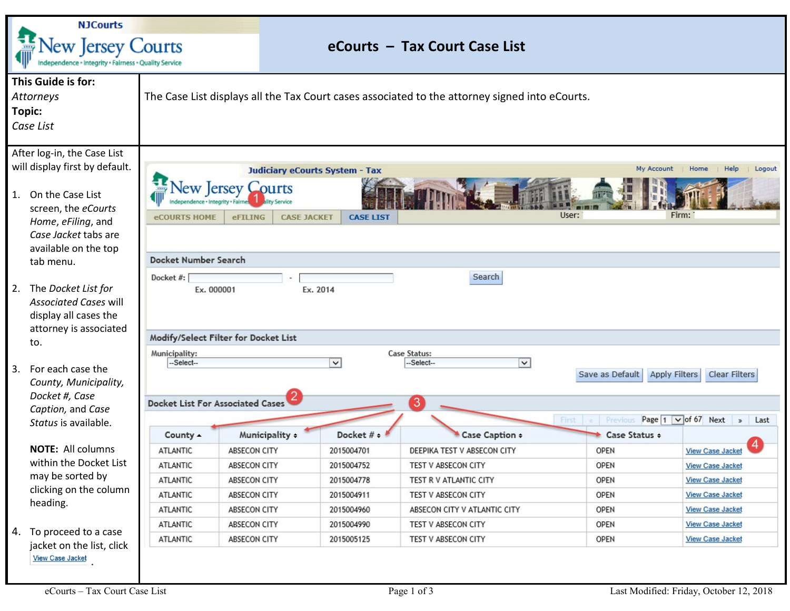| <b>NJCourts</b>                                                                                                                                                                                |                                                                                                                  |                                                                                                                                                                                                                                                                                                                                 |                     |                               |                              |             |                         |  |  |  |  |
|------------------------------------------------------------------------------------------------------------------------------------------------------------------------------------------------|------------------------------------------------------------------------------------------------------------------|---------------------------------------------------------------------------------------------------------------------------------------------------------------------------------------------------------------------------------------------------------------------------------------------------------------------------------|---------------------|-------------------------------|------------------------------|-------------|-------------------------|--|--|--|--|
| <b>Vew Jersey Courts</b><br>Independence + Integrity + Fairness + Quality Service                                                                                                              |                                                                                                                  |                                                                                                                                                                                                                                                                                                                                 |                     | eCourts - Tax Court Case List |                              |             |                         |  |  |  |  |
| Topic:                                                                                                                                                                                         | This Guide is for:<br>Attorneys<br>Case List                                                                     | The Case List displays all the Tax Court cases associated to the attorney signed into eCourts.                                                                                                                                                                                                                                  |                     |                               |                              |             |                         |  |  |  |  |
| After log-in, the Case List<br>will display first by default.<br>1. On the Case List<br>screen, the eCourts<br>Home, eFiling, and<br>Case Jacket tabs are<br>available on the top<br>tab menu. |                                                                                                                  | My Account<br>Help<br>Logout<br><b>Judiciary eCourts System - Tax</b><br>Home<br>ew Jersey Courts<br>User:<br>Firm:<br><b>eFILING</b><br><b>CASE JACKET</b><br><b>CASE LIST</b><br><b>eCOURTS HOME</b><br>Docket Number Search                                                                                                  |                     |                               |                              |             |                         |  |  |  |  |
|                                                                                                                                                                                                | 2. The Docket List for<br><b>Associated Cases will</b><br>display all cases the<br>attorney is associated<br>to. | Search<br>Docket #:<br>Ex. 2014<br>Ex. 000001<br>Modify/Select Filter for Docket List<br>Case Status:<br>Municipality:                                                                                                                                                                                                          |                     |                               |                              |             |                         |  |  |  |  |
| 3.                                                                                                                                                                                             | For each case the<br>County, Municipality,<br>Docket #, Case<br>Caption, and Case<br>Status is available.        | $\vert \mathbf{v} \vert$<br>$\checkmark$<br>-Select--<br>-Select--<br><b>Clear Filters</b><br>Save as Default<br><b>Apply Filters</b><br>3<br><b>Docket List For Associated Cases</b><br>Page $1 \vee$ of 67 Next<br>First e<br>Previous<br>Last<br>Municipality +<br>Docket # +<br>Case Caption +<br>County 4<br>Case Status ÷ |                     |                               |                              |             |                         |  |  |  |  |
|                                                                                                                                                                                                | <b>NOTE: All columns</b><br>within the Docket List<br>may be sorted by<br>clicking on the column<br>heading.     | <b>ATLANTIC</b>                                                                                                                                                                                                                                                                                                                 | <b>ABSECON CITY</b> | 2015004701                    | DEEPIKA TEST V ABSECON CITY  | <b>OPEN</b> | <b>View Case Jacket</b> |  |  |  |  |
|                                                                                                                                                                                                |                                                                                                                  | <b>ATLANTIC</b>                                                                                                                                                                                                                                                                                                                 | ABSECON CITY        | 2015004752                    | TEST V ABSECON CITY          | <b>OPEN</b> | <b>View Case Jacket</b> |  |  |  |  |
|                                                                                                                                                                                                |                                                                                                                  | <b>ATLANTIC</b>                                                                                                                                                                                                                                                                                                                 | ABSECON CITY        | 2015004778                    | TEST R V ATLANTIC CITY       | OPEN        | <b>View Case Jacket</b> |  |  |  |  |
|                                                                                                                                                                                                |                                                                                                                  | ATLANTIC                                                                                                                                                                                                                                                                                                                        | ABSECON CITY        | 2015004911                    | TEST V ABSECON CITY          | OPEN        | <b>View Case Jacket</b> |  |  |  |  |
|                                                                                                                                                                                                |                                                                                                                  | ATLANTIC                                                                                                                                                                                                                                                                                                                        | ABSECON CITY        | 2015004960                    | ABSECON CITY V ATLANTIC CITY | <b>OPEN</b> | <b>View Case Jacket</b> |  |  |  |  |
|                                                                                                                                                                                                | 4. To proceed to a case<br>jacket on the list, click<br><b>View Case Jacket</b>                                  | ATLANTIC                                                                                                                                                                                                                                                                                                                        | ABSECON CITY        | 2015004990                    | TEST V ABSECON CITY          | OPEN        | <b>View Case Jacket</b> |  |  |  |  |
|                                                                                                                                                                                                |                                                                                                                  | <b>ATLANTIC</b>                                                                                                                                                                                                                                                                                                                 | ABSECON CITY        | 2015005125                    | TEST V ABSECON CITY          | OPEN        | <b>View Case Jacket</b> |  |  |  |  |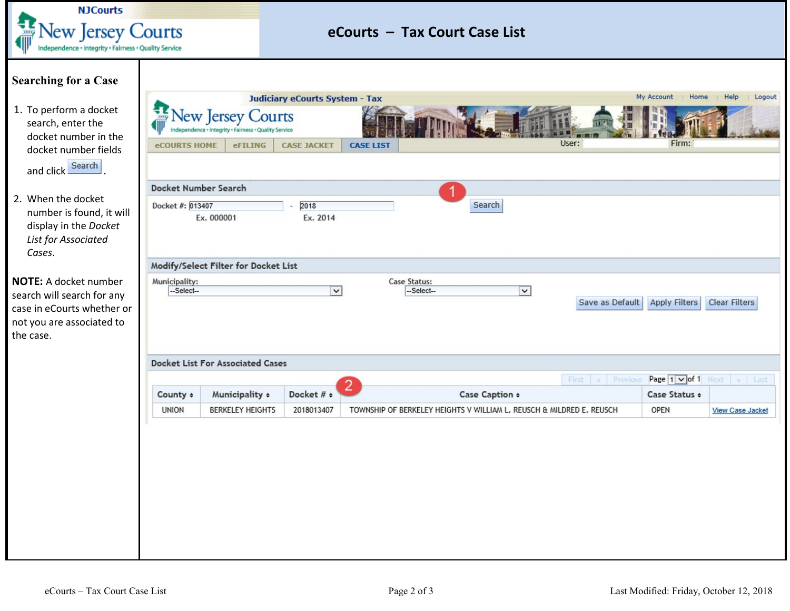